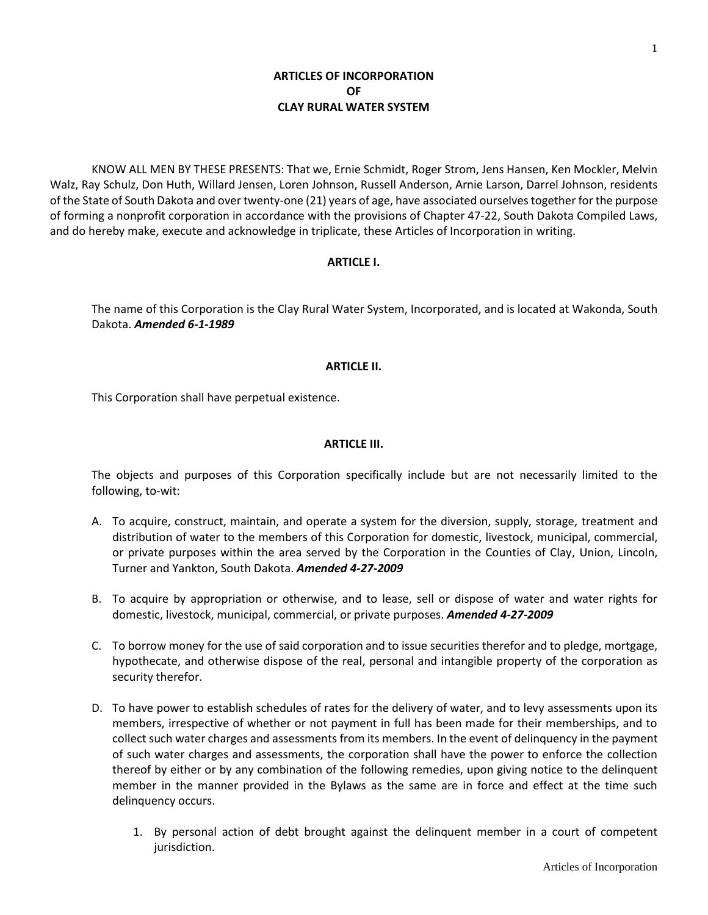1

# **ARTICLES OF INCORPORATION OF CLAY RURAL WATER SYSTEM**

KNOW ALL MEN BY THESE PRESENTS: That we, Ernie Schmidt, Roger Strom, Jens Hansen, Ken Mockler, Melvin Walz, Ray Schulz, Don Huth, Willard Jensen, Loren Johnson, Russell Anderson, Arnie Larson, Darrel Johnson, residents of the State of South Dakota and over twenty-one (21) years of age, have associated ourselves together for the purpose of forming a nonprofit corporation in accordance with the provisions of Chapter 47-22, South Dakota Compiled Laws, and do hereby make, execute and acknowledge in triplicate, these Articles of Incorporation in writing.

## **ARTICLE I.**

The name of this Corporation is the Clay Rural Water System, Incorporated, and is located at Wakonda, South Dakota. *Amended 6-1-1989*

## **ARTICLE II.**

This Corporation shall have perpetual existence.

## **ARTICLE III.**

The objects and purposes of this Corporation specifically include but are not necessarily limited to the following, to-wit:

- A. To acquire, construct, maintain, and operate a system for the diversion, supply, storage, treatment and distribution of water to the members of this Corporation for domestic, livestock, municipal, commercial, or private purposes within the area served by the Corporation in the Counties of Clay, Union, Lincoln, Turner and Yankton, South Dakota. *Amended 4-27-2009*
- B. To acquire by appropriation or otherwise, and to lease, sell or dispose of water and water rights for domestic, livestock, municipal, commercial, or private purposes. *Amended 4-27-2009*
- C. To borrow money for the use of said corporation and to issue securities therefor and to pledge, mortgage, hypothecate, and otherwise dispose of the real, personal and intangible property of the corporation as security therefor.
- D. To have power to establish schedules of rates for the delivery of water, and to levy assessments upon its members, irrespective of whether or not payment in full has been made for their memberships, and to collect such water charges and assessments from its members. In the event of delinquency in the payment of such water charges and assessments, the corporation shall have the power to enforce the collection thereof by either or by any combination of the following remedies, upon giving notice to the delinquent member in the manner provided in the Bylaws as the same are in force and effect at the time such delinquency occurs.
	- 1. By personal action of debt brought against the delinquent member in a court of competent jurisdiction.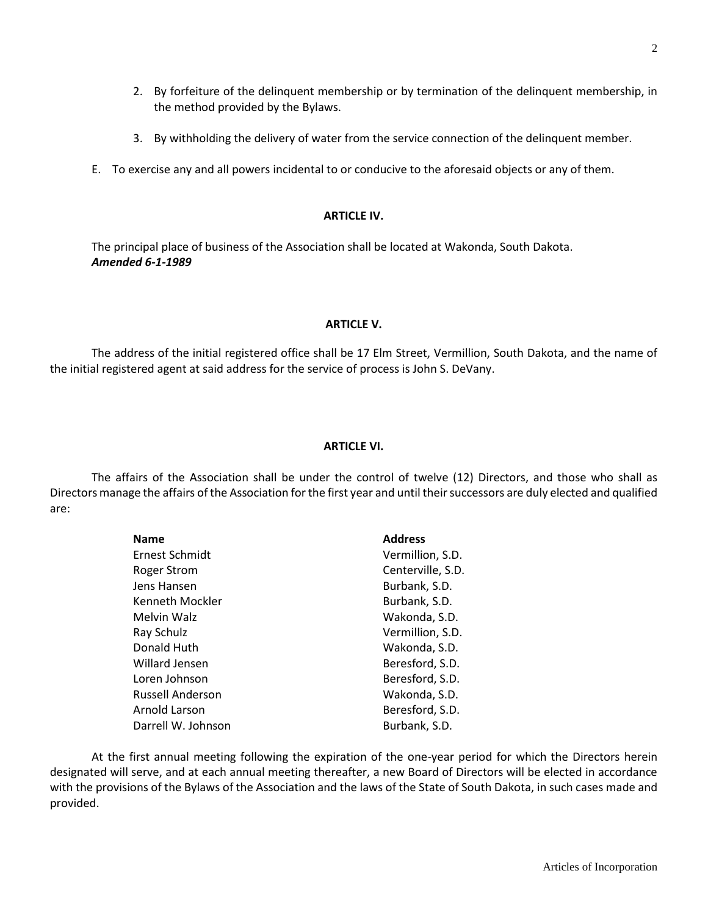- 2. By forfeiture of the delinquent membership or by termination of the delinquent membership, in the method provided by the Bylaws.
- 3. By withholding the delivery of water from the service connection of the delinquent member.
- E. To exercise any and all powers incidental to or conducive to the aforesaid objects or any of them.

## **ARTICLE IV.**

The principal place of business of the Association shall be located at Wakonda, South Dakota. *Amended 6-1-1989*

## **ARTICLE V.**

The address of the initial registered office shall be 17 Elm Street, Vermillion, South Dakota, and the name of the initial registered agent at said address for the service of process is John S. DeVany.

## **ARTICLE VI.**

The affairs of the Association shall be under the control of twelve (12) Directors, and those who shall as Directors manage the affairs of the Association for the first year and until their successors are duly elected and qualified are:

| <b>Name</b>             | <b>Address</b>    |
|-------------------------|-------------------|
| Ernest Schmidt          | Vermillion, S.D.  |
| <b>Roger Strom</b>      | Centerville, S.D. |
| Jens Hansen             | Burbank, S.D.     |
| Kenneth Mockler         | Burbank, S.D.     |
| Melvin Walz             | Wakonda, S.D.     |
| Ray Schulz              | Vermillion, S.D.  |
| Donald Huth             | Wakonda, S.D.     |
| Willard Jensen          | Beresford, S.D.   |
| Loren Johnson           | Beresford, S.D.   |
| <b>Russell Anderson</b> | Wakonda, S.D.     |
| Arnold Larson           | Beresford, S.D.   |
| Darrell W. Johnson      | Burbank, S.D.     |

At the first annual meeting following the expiration of the one-year period for which the Directors herein designated will serve, and at each annual meeting thereafter, a new Board of Directors will be elected in accordance with the provisions of the Bylaws of the Association and the laws of the State of South Dakota, in such cases made and provided.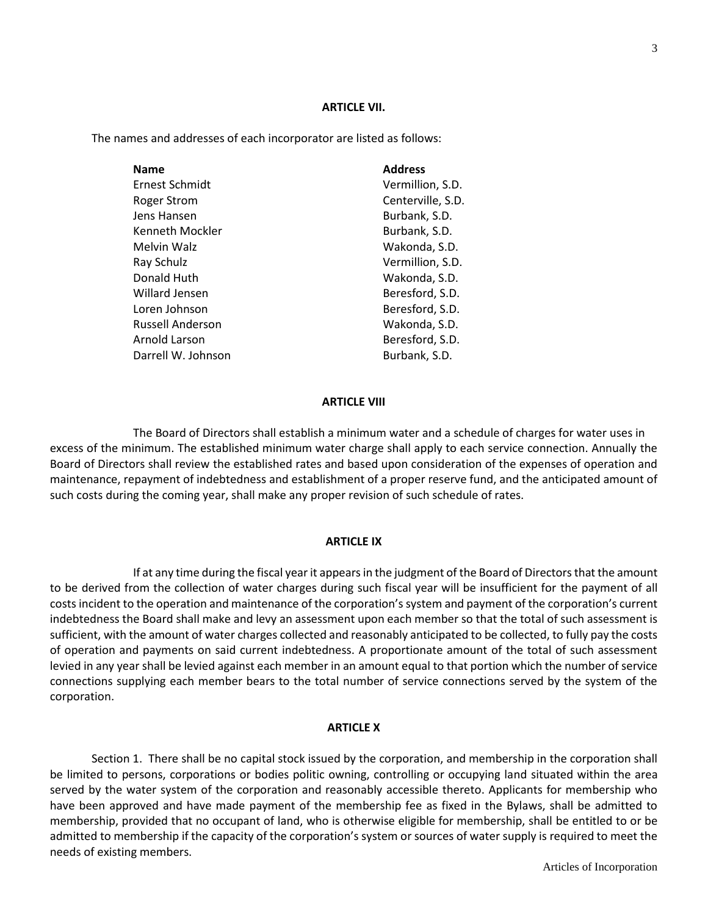#### **ARTICLE VII.**

The names and addresses of each incorporator are listed as follows:

| <b>Name</b>             | <b>Address</b>    |
|-------------------------|-------------------|
| Ernest Schmidt          | Vermillion, S.D.  |
| Roger Strom             | Centerville, S.D. |
| Jens Hansen             | Burbank, S.D.     |
| Kenneth Mockler         | Burbank, S.D.     |
| Melvin Walz             | Wakonda, S.D.     |
| Ray Schulz              | Vermillion, S.D.  |
| Donald Huth             | Wakonda, S.D.     |
| Willard Jensen          | Beresford, S.D.   |
| Loren Johnson           | Beresford, S.D.   |
| <b>Russell Anderson</b> | Wakonda, S.D.     |
| Arnold Larson           | Beresford, S.D.   |
| Darrell W. Johnson      | Burbank, S.D.     |

#### **ARTICLE VIII**

The Board of Directors shall establish a minimum water and a schedule of charges for water uses in excess of the minimum. The established minimum water charge shall apply to each service connection. Annually the Board of Directors shall review the established rates and based upon consideration of the expenses of operation and maintenance, repayment of indebtedness and establishment of a proper reserve fund, and the anticipated amount of such costs during the coming year, shall make any proper revision of such schedule of rates.

#### **ARTICLE IX**

If at any time during the fiscal year it appears in the judgment of the Board of Directors that the amount to be derived from the collection of water charges during such fiscal year will be insufficient for the payment of all costs incident to the operation and maintenance of the corporation's system and payment of the corporation's current indebtedness the Board shall make and levy an assessment upon each member so that the total of such assessment is sufficient, with the amount of water charges collected and reasonably anticipated to be collected, to fully pay the costs of operation and payments on said current indebtedness. A proportionate amount of the total of such assessment levied in any year shall be levied against each member in an amount equal to that portion which the number of service connections supplying each member bears to the total number of service connections served by the system of the corporation.

#### **ARTICLE X**

Section 1. There shall be no capital stock issued by the corporation, and membership in the corporation shall be limited to persons, corporations or bodies politic owning, controlling or occupying land situated within the area served by the water system of the corporation and reasonably accessible thereto. Applicants for membership who have been approved and have made payment of the membership fee as fixed in the Bylaws, shall be admitted to membership, provided that no occupant of land, who is otherwise eligible for membership, shall be entitled to or be admitted to membership if the capacity of the corporation's system or sources of water supply is required to meet the needs of existing members.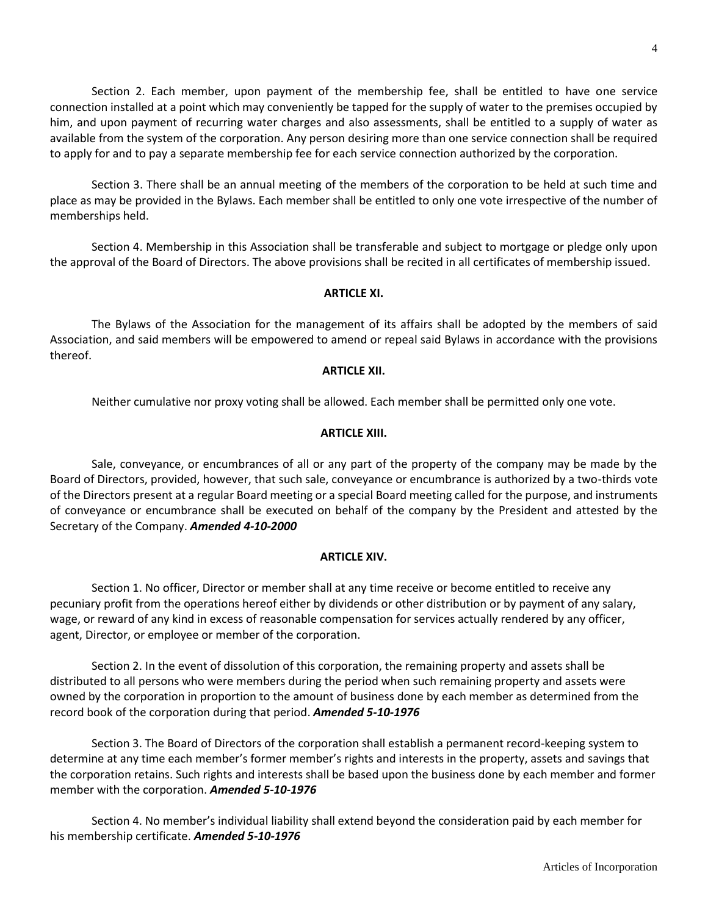Section 2. Each member, upon payment of the membership fee, shall be entitled to have one service connection installed at a point which may conveniently be tapped for the supply of water to the premises occupied by him, and upon payment of recurring water charges and also assessments, shall be entitled to a supply of water as available from the system of the corporation. Any person desiring more than one service connection shall be required to apply for and to pay a separate membership fee for each service connection authorized by the corporation.

Section 3. There shall be an annual meeting of the members of the corporation to be held at such time and place as may be provided in the Bylaws. Each member shall be entitled to only one vote irrespective of the number of memberships held.

Section 4. Membership in this Association shall be transferable and subject to mortgage or pledge only upon the approval of the Board of Directors. The above provisions shall be recited in all certificates of membership issued.

### **ARTICLE XI.**

The Bylaws of the Association for the management of its affairs shall be adopted by the members of said Association, and said members will be empowered to amend or repeal said Bylaws in accordance with the provisions thereof.

## **ARTICLE XII.**

Neither cumulative nor proxy voting shall be allowed. Each member shall be permitted only one vote.

## **ARTICLE XIII.**

Sale, conveyance, or encumbrances of all or any part of the property of the company may be made by the Board of Directors, provided, however, that such sale, conveyance or encumbrance is authorized by a two-thirds vote of the Directors present at a regular Board meeting or a special Board meeting called for the purpose, and instruments of conveyance or encumbrance shall be executed on behalf of the company by the President and attested by the Secretary of the Company. *Amended 4-10-2000*

### **ARTICLE XIV.**

Section 1. No officer, Director or member shall at any time receive or become entitled to receive any pecuniary profit from the operations hereof either by dividends or other distribution or by payment of any salary, wage, or reward of any kind in excess of reasonable compensation for services actually rendered by any officer, agent, Director, or employee or member of the corporation.

Section 2. In the event of dissolution of this corporation, the remaining property and assets shall be distributed to all persons who were members during the period when such remaining property and assets were owned by the corporation in proportion to the amount of business done by each member as determined from the record book of the corporation during that period. *Amended 5-10-1976*

Section 3. The Board of Directors of the corporation shall establish a permanent record-keeping system to determine at any time each member's former member's rights and interests in the property, assets and savings that the corporation retains. Such rights and interests shall be based upon the business done by each member and former member with the corporation. *Amended 5-10-1976*

Section 4. No member's individual liability shall extend beyond the consideration paid by each member for his membership certificate. *Amended 5-10-1976*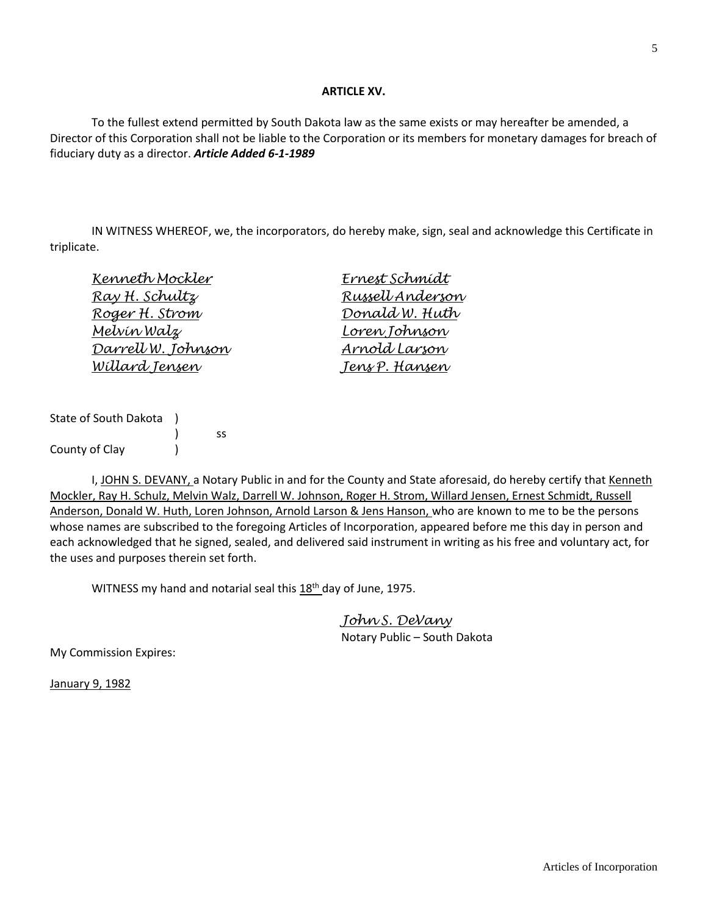### **ARTICLE XV.**

To the fullest extend permitted by South Dakota law as the same exists or may hereafter be amended, a Director of this Corporation shall not be liable to the Corporation or its members for monetary damages for breach of fiduciary duty as a director. *Article Added 6-1-1989*

IN WITNESS WHEREOF, we, the incorporators, do hereby make, sign, seal and acknowledge this Certificate in triplicate.

| Kenneth Mockler       | Ernest Schmídt        |
|-----------------------|-----------------------|
| <u>Ray H. Schultz</u> | Russell Anderson      |
| Roger H. Strom        | <u>Donald W. Huth</u> |
| <u>Melvín Walz</u>    | Loren Johnson         |
| Darrell W. Johnson    | Arnold Larson         |
| <u>Willard Jensen</u> | Jens P. Hansen        |
|                       |                       |

| State of South Dakota |   |  |
|-----------------------|---|--|
|                       | ß |  |
| County of Clay        |   |  |

I, JOHN S. DEVANY, a Notary Public in and for the County and State aforesaid, do hereby certify that Kenneth Mockler, Ray H. Schulz, Melvin Walz, Darrell W. Johnson, Roger H. Strom, Willard Jensen, Ernest Schmidt, Russell Anderson, Donald W. Huth, Loren Johnson, Arnold Larson & Jens Hanson, who are known to me to be the persons whose names are subscribed to the foregoing Articles of Incorporation, appeared before me this day in person and each acknowledged that he signed, sealed, and delivered said instrument in writing as his free and voluntary act, for the uses and purposes therein set forth.

WITNESS my hand and notarial seal this 18<sup>th</sup> day of June, 1975.

*John S. DeVany* Notary Public – South Dakota

My Commission Expires:

January 9, 1982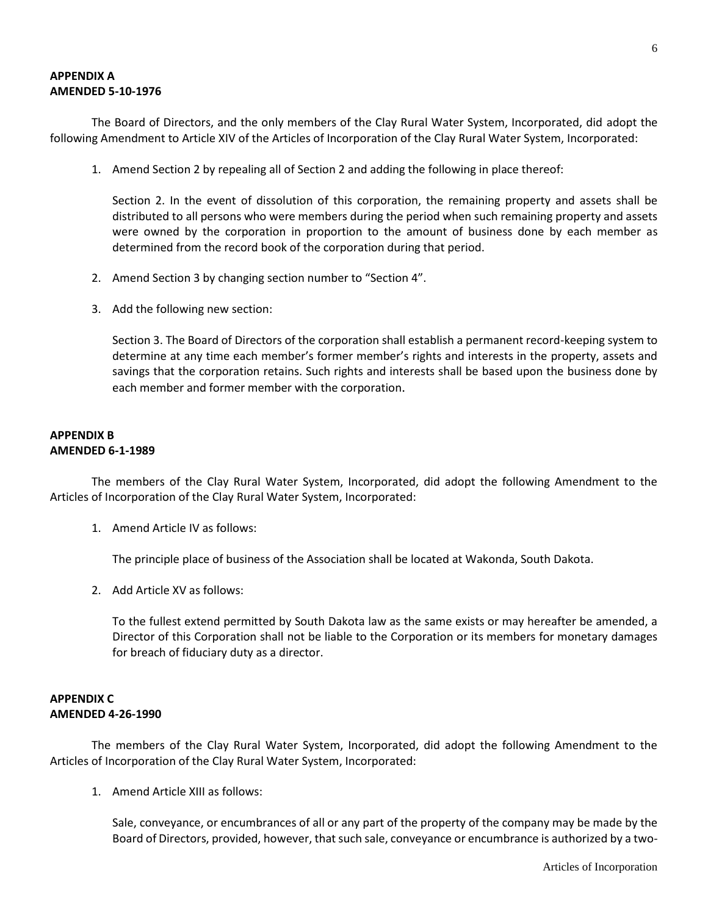## **APPENDIX A AMENDED 5-10-1976**

The Board of Directors, and the only members of the Clay Rural Water System, Incorporated, did adopt the following Amendment to Article XIV of the Articles of Incorporation of the Clay Rural Water System, Incorporated:

1. Amend Section 2 by repealing all of Section 2 and adding the following in place thereof:

Section 2. In the event of dissolution of this corporation, the remaining property and assets shall be distributed to all persons who were members during the period when such remaining property and assets were owned by the corporation in proportion to the amount of business done by each member as determined from the record book of the corporation during that period.

- 2. Amend Section 3 by changing section number to "Section 4".
- 3. Add the following new section:

Section 3. The Board of Directors of the corporation shall establish a permanent record-keeping system to determine at any time each member's former member's rights and interests in the property, assets and savings that the corporation retains. Such rights and interests shall be based upon the business done by each member and former member with the corporation.

## **APPENDIX B AMENDED 6-1-1989**

The members of the Clay Rural Water System, Incorporated, did adopt the following Amendment to the Articles of Incorporation of the Clay Rural Water System, Incorporated:

1. Amend Article IV as follows:

The principle place of business of the Association shall be located at Wakonda, South Dakota.

2. Add Article XV as follows:

To the fullest extend permitted by South Dakota law as the same exists or may hereafter be amended, a Director of this Corporation shall not be liable to the Corporation or its members for monetary damages for breach of fiduciary duty as a director.

## **APPENDIX C AMENDED 4-26-1990**

The members of the Clay Rural Water System, Incorporated, did adopt the following Amendment to the Articles of Incorporation of the Clay Rural Water System, Incorporated:

1. Amend Article XIII as follows:

Sale, conveyance, or encumbrances of all or any part of the property of the company may be made by the Board of Directors, provided, however, that such sale, conveyance or encumbrance is authorized by a two